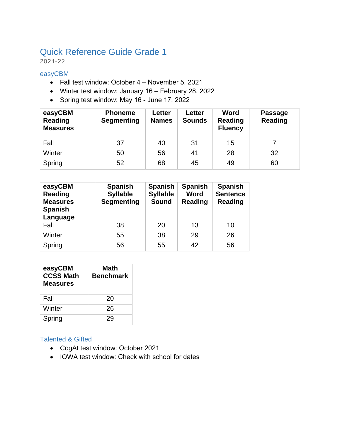# Quick Reference Guide Grade 1

2021-22

#### easyCBM

- Fall test window: October 4 November 5, 2021
- Winter test window: January 16 February 28, 2022
- Spring test window: May 16 June 17, 2022

| easyCBM<br>Reading<br><b>Measures</b> | <b>Phoneme</b><br><b>Segmenting</b> | Letter<br><b>Names</b> | Letter<br><b>Sounds</b> | Word<br>Reading<br><b>Fluency</b> | <b>Passage</b><br><b>Reading</b> |
|---------------------------------------|-------------------------------------|------------------------|-------------------------|-----------------------------------|----------------------------------|
| Fall                                  | 37                                  | 40                     | 31                      | 15                                |                                  |
| Winter                                | 50                                  | 56                     | 41                      | 28                                | 32                               |
| Spring                                | 52                                  | 68                     | 45                      | 49                                | 60                               |

| easyCBM<br><b>Reading</b><br><b>Measures</b><br><b>Spanish</b><br>Language | <b>Spanish</b><br><b>Syllable</b><br><b>Segmenting</b> | <b>Spanish</b><br><b>Syllable</b><br><b>Sound</b> | <b>Spanish</b><br>Word<br><b>Reading</b> | <b>Spanish</b><br><b>Sentence</b><br><b>Reading</b> |
|----------------------------------------------------------------------------|--------------------------------------------------------|---------------------------------------------------|------------------------------------------|-----------------------------------------------------|
| Fall                                                                       | 38                                                     | 20                                                | 13                                       | 10                                                  |
| Winter                                                                     | 55                                                     | 38                                                | 29                                       | 26                                                  |
| Spring                                                                     | 56                                                     | 55                                                | 42                                       | 56                                                  |

| easyCBM<br><b>CCSS Math</b><br><b>Measures</b> | Math<br>Benchmark |
|------------------------------------------------|-------------------|
| Fall                                           | 20                |
| Winter                                         | 26                |
| Spring                                         | 29                |

#### Talented & Gifted

- CogAt test window: October 2021
- IOWA test window: Check with school for dates